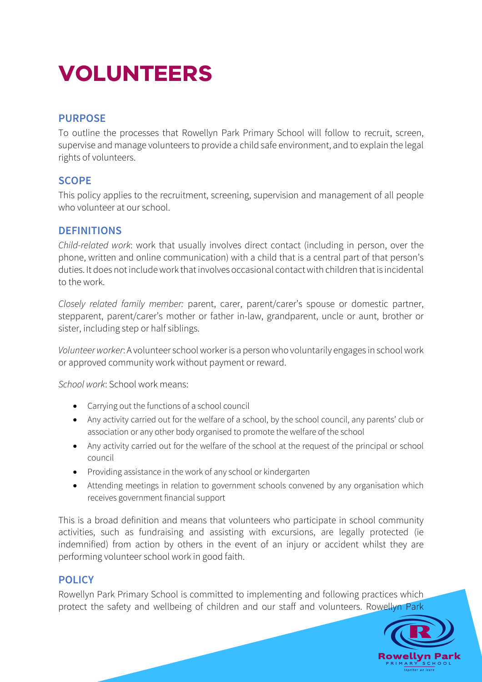# **VOLUNTEERS**

## **PURPOSE**

To outline the processes that Rowellyn Park Primary School will follow to recruit, screen, supervise and manage volunteers to provide a child safe environment, and to explain the legal rights of volunteers.

## **SCOPE**

This policy applies to the recruitment, screening, supervision and management of all people who volunteer at our school.

## **DEFINITIONS**

*Child-related work*: work that usually involves direct contact (including in person, over the phone, written and online communication) with a child that is a central part of that person's duties. It does not include work that involves occasional contact with children that is incidental to the work.

*Closely related family member:* parent, carer, parent/carer's spouse or domestic partner, stepparent, parent/carer's mother or father in-law, grandparent, uncle or aunt, brother or sister, including step or half siblings.

*Volunteer worker*: A volunteer school worker is a person who voluntarily engages in school work or approved community work without payment or reward.

*School work*: School work means:

- Carrying out the functions of a school council
- Any activity carried out for the welfare of a school, by the school council, any parents' club or association or any other body organised to promote the welfare of the school
- Any activity carried out for the welfare of the school at the request of the principal or school council
- Providing assistance in the work of any school or kindergarten
- Attending meetings in relation to government schools convened by any organisation which receives government financial support

This is a broad definition and means that volunteers who participate in school community activities, such as fundraising and assisting with excursions, are legally protected (ie indemnified) from action by others in the event of an injury or accident whilst they are performing volunteer school work in good faith.

## **POLICY**

Rowellyn Park Primary School is committed to implementing and following practices which protect the safety and wellbeing of children and our staff and volunteers. Rowellyn Park

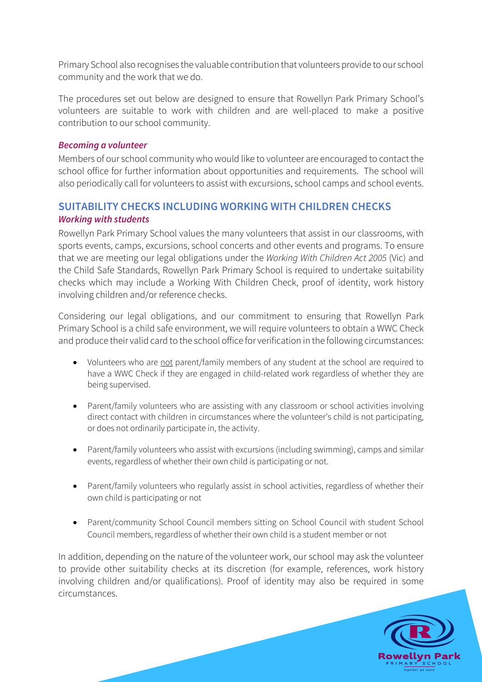Primary School also recognises the valuable contribution that volunteers provide to our school community and the work that we do.

The procedures set out below are designed to ensure that Rowellyn Park Primary School's volunteers are suitable to work with children and are well-placed to make a positive contribution to our school community.

#### *Becoming a volunteer*

Members of our school community who would like to volunteer are encouraged to contact the school office for further information about opportunities and requirements. The school will also periodically call for volunteers to assist with excursions, school camps and school events.

## **SUITABILITY CHECKS INCLUDING WORKING WITH CHILDREN CHECKS** *Working with students*

Rowellyn Park Primary School values the many volunteers that assist in our classrooms, with sports events, camps, excursions, school concerts and other events and programs. To ensure that we are meeting our legal obligations under the *Working With Children Act 2005* (Vic) and the Child Safe Standards, Rowellyn Park Primary School is required to undertake suitability checks which may include a Working With Children Check, proof of identity, work history involving children and/or reference checks.

Considering our legal obligations, and our commitment to ensuring that Rowellyn Park Primary School is a child safe environment, we will require volunteers to obtain a WWC Check and produce their valid card to the school office for verification in the following circumstances:

- Volunteers who are not parent/family members of any student at the school are required to have a WWC Check if they are engaged in child-related work regardless of whether they are being supervised.
- Parent/family volunteers who are assisting with any classroom or school activities involving direct contact with children in circumstances where the volunteer's child is not participating, or does not ordinarily participate in, the activity.
- Parent/family volunteers who assist with excursions (including swimming), camps and similar events, regardless of whether their own child is participating or not.
- Parent/family volunteers who regularly assist in school activities, regardless of whether their own child is participating or not
- Parent/community School Council members sitting on School Council with student School Council members, regardless of whether their own child is a student member or not

In addition, depending on the nature of the volunteer work, our school may ask the volunteer to provide other suitability checks at its discretion (for example, references, work history involving children and/or qualifications). Proof of identity may also be required in some circumstances.

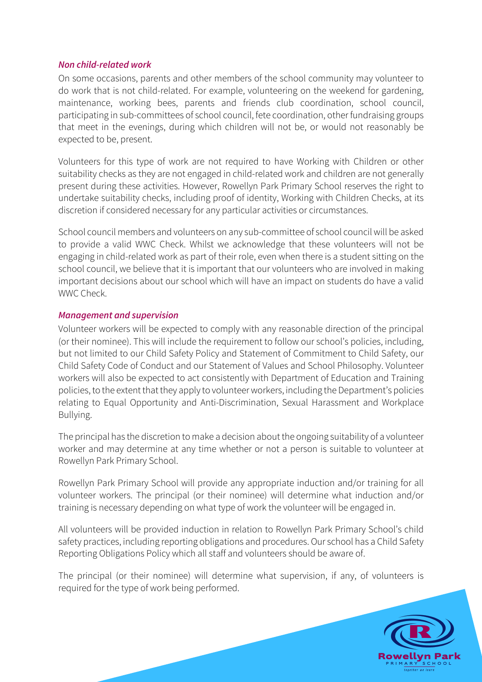#### *Non child-related work*

On some occasions, parents and other members of the school community may volunteer to do work that is not child-related. For example, volunteering on the weekend for gardening, maintenance, working bees, parents and friends club coordination, school council, participating in sub-committees of school council, fete coordination, other fundraising groups that meet in the evenings, during which children will not be, or would not reasonably be expected to be, present.

Volunteers for this type of work are not required to have Working with Children or other suitability checks as they are not engaged in child-related work and children are not generally present during these activities. However, Rowellyn Park Primary School reserves the right to undertake suitability checks, including proof of identity, Working with Children Checks, at its discretion if considered necessary for any particular activities or circumstances.

School council members and volunteers on any sub-committee of school council will be asked to provide a valid WWC Check. Whilst we acknowledge that these volunteers will not be engaging in child-related work as part of their role, even when there is a student sitting on the school council, we believe that it is important that our volunteers who are involved in making important decisions about our school which will have an impact on students do have a valid WWC Check

#### *Management and supervision*

Volunteer workers will be expected to comply with any reasonable direction of the principal (or their nominee). This will include the requirement to follow our school's policies, including, but not limited to our Child Safety Policy and Statement of Commitment to Child Safety, our Child Safety Code of Conduct and our Statement of Values and School Philosophy. Volunteer workers will also be expected to act consistently with Department of Education and Training policies, to the extent that they apply to volunteer workers, including the Department's policies relating to Equal Opportunity and Anti-Discrimination, Sexual Harassment and Workplace Bullying.

The principal has the discretion to make a decision about the ongoing suitability of a volunteer worker and may determine at any time whether or not a person is suitable to volunteer at Rowellyn Park Primary School.

Rowellyn Park Primary School will provide any appropriate induction and/or training for all volunteer workers. The principal (or their nominee) will determine what induction and/or training is necessary depending on what type of work the volunteer will be engaged in.

All volunteers will be provided induction in relation to Rowellyn Park Primary School's child safety practices, including reporting obligations and procedures. Our school has a Child Safety Reporting Obligations Policy which all staff and volunteers should be aware of.

The principal (or their nominee) will determine what supervision, if any, of volunteers is required for the type of work being performed.